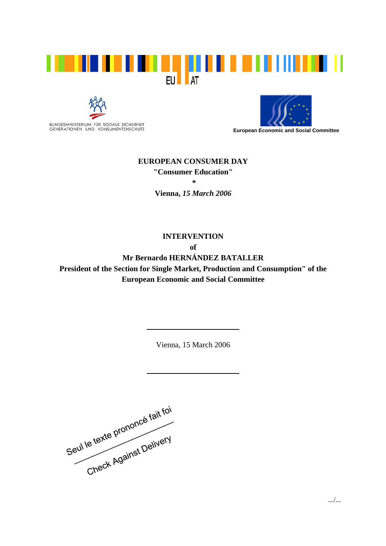





**European Economic and Social Committee** 

## **EUROPEAN CONSUMER DAY "Consumer Education" \***

**Vienna,** *15 March 2006*

**INTERVENTION of Mr Bernardo HERNÁNDEZ BATALLER President of the Section for Single Market, Production and Consumption" of the European Economic and Social Committee** 

Vienna, 15 March 2006

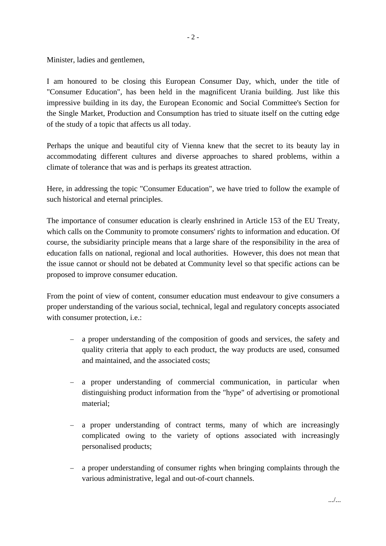Minister, ladies and gentlemen,

I am honoured to be closing this European Consumer Day, which, under the title of "Consumer Education", has been held in the magnificent Urania building. Just like this impressive building in its day, the European Economic and Social Committee's Section for the Single Market, Production and Consumption has tried to situate itself on the cutting edge of the study of a topic that affects us all today.

Perhaps the unique and beautiful city of Vienna knew that the secret to its beauty lay in accommodating different cultures and diverse approaches to shared problems, within a climate of tolerance that was and is perhaps its greatest attraction.

Here, in addressing the topic "Consumer Education", we have tried to follow the example of such historical and eternal principles.

The importance of consumer education is clearly enshrined in Article 153 of the EU Treaty, which calls on the Community to promote consumers' rights to information and education. Of course, the subsidiarity principle means that a large share of the responsibility in the area of education falls on national, regional and local authorities. However, this does not mean that the issue cannot or should not be debated at Community level so that specific actions can be proposed to improve consumer education.

From the point of view of content, consumer education must endeavour to give consumers a proper understanding of the various social, technical, legal and regulatory concepts associated with consumer protection, *i.e.*:

- a proper understanding of the composition of goods and services, the safety and quality criteria that apply to each product, the way products are used, consumed and maintained, and the associated costs;
- − a proper understanding of commercial communication, in particular when distinguishing product information from the "hype" of advertising or promotional material;
- a proper understanding of contract terms, many of which are increasingly complicated owing to the variety of options associated with increasingly personalised products;
- − a proper understanding of consumer rights when bringing complaints through the various administrative, legal and out-of-court channels.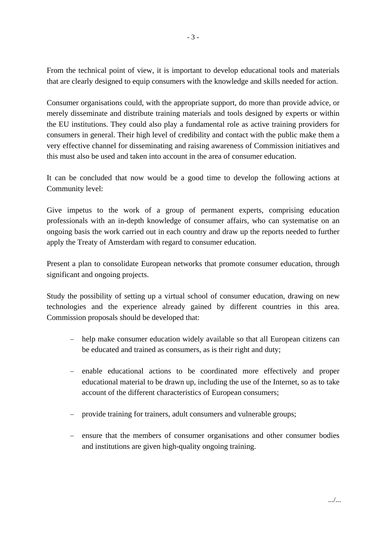From the technical point of view, it is important to develop educational tools and materials that are clearly designed to equip consumers with the knowledge and skills needed for action.

Consumer organisations could, with the appropriate support, do more than provide advice, or merely disseminate and distribute training materials and tools designed by experts or within the EU institutions. They could also play a fundamental role as active training providers for consumers in general. Their high level of credibility and contact with the public make them a very effective channel for disseminating and raising awareness of Commission initiatives and this must also be used and taken into account in the area of consumer education.

It can be concluded that now would be a good time to develop the following actions at Community level:

Give impetus to the work of a group of permanent experts, comprising education professionals with an in-depth knowledge of consumer affairs, who can systematise on an ongoing basis the work carried out in each country and draw up the reports needed to further apply the Treaty of Amsterdam with regard to consumer education.

Present a plan to consolidate European networks that promote consumer education, through significant and ongoing projects.

Study the possibility of setting up a virtual school of consumer education, drawing on new technologies and the experience already gained by different countries in this area. Commission proposals should be developed that:

- − help make consumer education widely available so that all European citizens can be educated and trained as consumers, as is their right and duty;
- − enable educational actions to be coordinated more effectively and proper educational material to be drawn up, including the use of the Internet, so as to take account of the different characteristics of European consumers;
- − provide training for trainers, adult consumers and vulnerable groups;
- − ensure that the members of consumer organisations and other consumer bodies and institutions are given high-quality ongoing training.